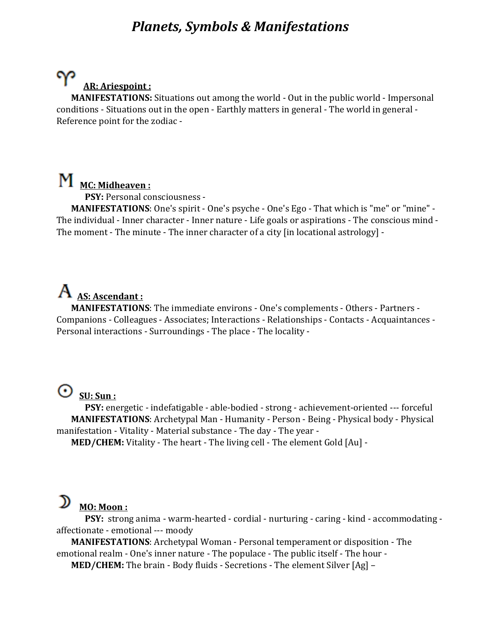### *Planets, Symbols & Manifestations*

# **AR: Ariespoint :**

 **MANIFESTATIONS:** Situations out among the world ‐ Out in the public world ‐ Impersonal conditions - Situations out in the open - Earthly matters in general - The world in general -Reference point for the zodiac -

## **MC: Midheaven :**

**PSY:** Personal consciousness ‐

 **MANIFESTATIONS**: One's spirit ‐ One's psyche ‐ One's Ego ‐ That which is "me" or "mine" ‐ The individual - Inner character - Inner nature - Life goals or aspirations - The conscious mind -The moment - The minute - The inner character of a city [in locational astrology] -

## **AS: Ascendant :**

 **MANIFESTATIONS**: The immediate environs ‐ One's complements ‐ Others ‐ Partners ‐ Companions - Colleagues - Associates; Interactions - Relationships - Contacts - Acquaintances -Personal interactions - Surroundings - The place - The locality -

### **SU: Sun :**

**PSY:** energetic ‐ indefatigable ‐ able‐bodied ‐ strong ‐ achievement‐oriented ‐‐‐ forceful **MANIFESTATIONS**: Archetypal Man - Humanity - Person - Being - Physical body - Physical manifestation - Vitality - Material substance - The day - The year -

**MED/CHEM:** Vitality ‐ The heart ‐ The living cell ‐ The element Gold [Au] ‐

## **MO: Moon :**

**PSY:** strong anima ‐ warm‐hearted ‐ cordial ‐ nurturing ‐ caring ‐ kind ‐ accommodating ‐ affectionate ‐ emotional ‐‐‐ moody

**MANIFESTATIONS**: Archetypal Woman - Personal temperament or disposition - The emotional realm - One's inner nature - The populace - The public itself - The hour -

**MED/CHEM:** The brain - Body fluids - Secretions - The element Silver [Ag] -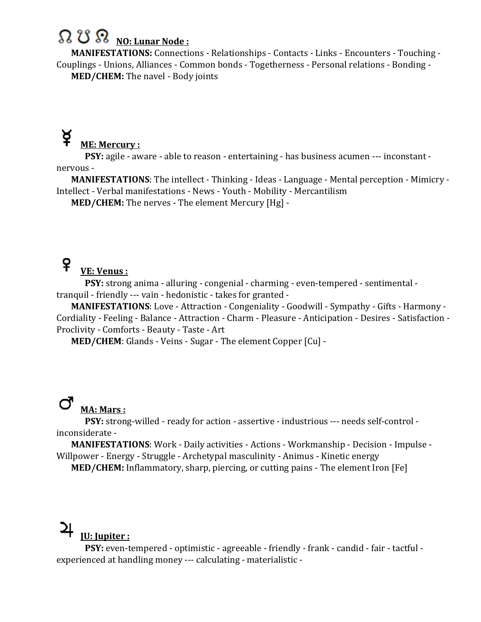## **NO: Lunar Node :**

 **MANIFESTATIONS:** Connections ‐ Relationships ‐ Contacts ‐ Links ‐ Encounters ‐ Touching ‐ Couplings - Unions, Alliances - Common bonds - Togetherness - Personal relations - Bonding -**MED/CHEM:** The navel ‐ Body joints

#### Ř  **ME: Mercury :**

**PSY**: agile - aware - able to reason - entertaining - has business acumen --- inconstant nervous -

 **MANIFESTATIONS**: The intellect ‐ Thinking ‐ Ideas ‐ Language ‐ Mental perception ‐ Mimicry ‐ Intellect - Verbal manifestations - News - Youth - Mobility - Mercantilism

**MED/CHEM:** The nerves - The element Mercury [Hg] -

#### ¥  **VE: Venus :**

**PSY:** strong anima ‐ alluring ‐ congenial ‐ charming ‐ even‐tempered ‐ sentimental ‐ tranquil ‐ friendly ‐‐‐ vain ‐ hedonistic ‐ takes for granted ‐

 **MANIFESTATIONS**: Love ‐ Attraction ‐ Congeniality ‐ Goodwill ‐ Sympathy ‐ Gifts ‐ Harmony ‐ Cordiality ‐ Feeling ‐ Balance ‐ Attraction ‐ Charm ‐ Pleasure ‐ Anticipation ‐ Desires ‐ Satisfaction ‐ Proclivity ‐ Comforts ‐ Beauty ‐ Taste ‐ Art

**MED/CHEM**: Glands - Veins - Sugar - The element Copper [Cu] -

#### ď  **MA: Mars :**

**PSY:** strong‐willed ‐ ready for action ‐ assertive ‐ industrious ‐‐‐ needs self‐control ‐ inconsiderate ‐

 **MANIFESTATIONS**: Work ‐ Daily activities ‐ Actions ‐ Workmanship ‐ Decision ‐ Impulse ‐ Willpower ‐ Energy ‐ Struggle ‐ Archetypal masculinity ‐ Animus ‐ Kinetic energy

**MED/CHEM:** Inflammatory, sharp, piercing, or cutting pains - The element Iron [Fe]

# **JU: Jupiter :**

**PSY:** even‐tempered ‐ optimistic ‐ agreeable ‐ friendly ‐ frank ‐ candid ‐ fair ‐ tactful ‐ experienced at handling money ‐‐‐ calculating ‐ materialistic ‐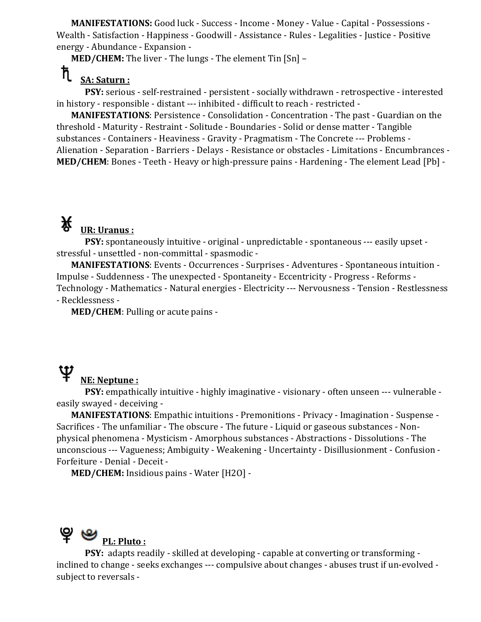**MANIFESTATIONS:** Good luck ‐ Success ‐ Income ‐ Money ‐ Value ‐ Capital ‐ Possessions ‐ Wealth ‐ Satisfaction ‐ Happiness ‐ Goodwill ‐ Assistance ‐ Rules ‐ Legalities ‐ Justice ‐ Positive energy ‐ Abundance ‐ Expansion ‐

**MED/CHEM:** The liver ‐ The lungs ‐ The element Tin [Sn] –

#### ħ  **SA: Saturn :**

**PSY:** serious ‐ self‐restrained ‐ persistent ‐ socially withdrawn ‐ retrospective ‐ interested in history ‐ responsible ‐ distant ‐‐‐ inhibited ‐ difficult to reach ‐ restricted ‐

 **MANIFESTATIONS**: Persistence ‐ Consolidation ‐ Concentration ‐ The past ‐ Guardian on the threshold ‐ Maturity ‐ Restraint ‐ Solitude ‐ Boundaries ‐ Solid or dense matter ‐ Tangible substances - Containers - Heaviness - Gravity - Pragmatism - The Concrete --- Problems -Alienation - Separation - Barriers - Delays - Resistance or obstacles - Limitations - Encumbrances -**ED/CHEM**: Bones ‐ Teeth ‐ Heavy or high‐pressure pains ‐ Hardening ‐ The element Lead [Pb] ‐ **M**



**PSY:** spontaneously intuitive ‐ original ‐ unpredictable ‐ spontaneous ‐‐‐ easily upset ‐ stressful ‐ unsettled ‐ non‐committal ‐ spasmodic ‐

 **MANIFESTATIONS**: Events ‐ Occurrences ‐ Surprises ‐ Adventures ‐ Spontaneous intuition ‐ Impulse ‐ Suddenness ‐ The unexpected ‐ Spontaneity ‐ Eccentricity ‐ Progress ‐ Reforms ‐ Technology - Mathematics - Natural energies - Electricity --- Nervousness - Tension - Restlessness - Recklessness -

**MED/CHEM**: Pulling or acute pains ‐

# **NE: Neptune :**

**PSY:** empathically intuitive ‐ highly imaginative ‐ visionary ‐ often unseen ‐‐‐ vulnerable ‐ easily swayed ‐ deceiving ‐

 **MANIFESTATIONS**: Empathic intuitions ‐ Premonitions ‐ Privacy ‐ Imagination ‐ Suspense ‐ Sacrifices ‐ The unfamiliar ‐ The obscure ‐ The future ‐ Liquid or gaseous substances ‐ Non‐ physical phenomena ‐ Mysticism ‐ Amorphous substances ‐ Abstractions ‐ Dissolutions ‐ The unconscious --- Vagueness; Ambiguity - Weakening - Uncertainty - Disillusionment - Confusion -Forfeiture - Denial - Deceit -

**MED/CHEM:** Insidious pains ‐ Water [H2O] ‐

# **PL: Pluto :**

**PSY:** adapts readily ‐ skilled at developing ‐ capable at converting or transforming ‐ inclined to change ‐ seeks exchanges ‐‐‐ compulsive about changes ‐ abuses trust if un‐evolved ‐ subject to reversals ‐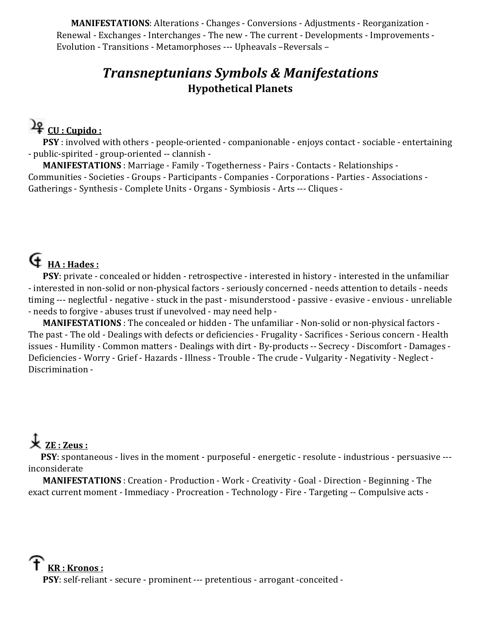**MANIFESTATIONS**: Alterations ‐ Changes ‐ Conversions ‐ Adjustments ‐ Reorganization ‐ Renewal - Exchanges - Interchanges - The new - The current - Developments - Improvements -Evolution - Transitions - Metamorphoses --- Upheavals - Reversals -

### *Transneptunians Symbols & Manifestations* **Hypothetical Planets**

### $\frac{2}{7}$  **CU** : **Cupido** :

 **PSY** : involved with others ‐ people‐oriented ‐ companionable ‐ enjoys contact ‐ sociable ‐ entertaining ‐ public‐spirited ‐ group‐oriented ‐‐ clannish ‐

 **MANIFESTATIONS** : Marriage ‐ Family ‐ Togetherness ‐ Pairs ‐ Contacts ‐ Relationships ‐ Communities - Societies - Groups - Participants - Companies - Corporations - Parties - Associations atherings ‐ Synthesis ‐ Complete Units ‐ Organs ‐ Symbiosis ‐ Arts ‐‐‐ Cliques ‐ G

## **HA : Hades :**

 **PSY**: private ‐ concealed or hidden ‐ retrospective ‐ interested in history ‐ interested in the unfamiliar ‐ interested in non‐solid or non‐physical factors ‐ seriously concerned ‐ needs attention to details ‐ needs timing ‐‐‐ neglectful ‐ negative ‐ stuck in the past ‐ misunderstood ‐ passive ‐ evasive ‐ envious ‐ unreliable ‐ needs to forgive ‐ abuses trust if unevolved ‐ may need help ‐

 **MANIFESTATIONS** : The concealed or hidden ‐ The unfamiliar ‐ Non‐solid or non‐physical factors ‐ The past ‐ The old ‐ Dealings with defects or deficiencies ‐ Frugality ‐ Sacrifices ‐ Serious concern ‐ Health issues ‐ Humility ‐ Common matters ‐ Dealings with dirt ‐ By‐products ‐‐ Secrecy ‐ Discomfort ‐ Damages ‐ Deficiencies - Worry - Grief - Hazards - Illness - Trouble - The crude - Vulgarity - Negativity - Neglect -Discrimination -

## $\overline{\mathbf{X}}$  **zE** : **Zeus** :

**PSY**: spontaneous - lives in the moment - purposeful - energetic - resolute - industrious - persuasive --inconsiderate

 **MANIFESTATIONS** : Creation ‐ Production ‐ Work ‐ Creativity ‐ Goal ‐ Direction ‐ Beginning ‐ The exact current moment ‐ Immediacy ‐ Procreation ‐ Technology ‐ Fire ‐ Targeting ‐‐ Compulsive acts ‐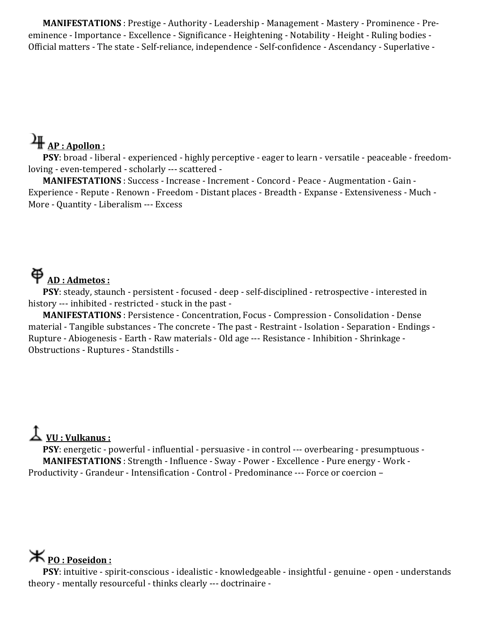**MANIFESTATIONS** : Prestige ‐ Authority ‐ Leadership ‐ Management ‐ Mastery ‐ Prominence ‐ Pre‐ eminence - Importance - Excellence - Significance - Heightening - Notability - Height - Ruling bodies fficial matters ‐ The state ‐ Self‐reliance, independence ‐ Self‐confidence ‐ Ascendancy ‐ Superlative ‐ O

## **AP : Apollon :**

 **PSY**: broad ‐ liberal ‐ experienced ‐ highly perceptive ‐ eager to learn ‐ versatile ‐ peaceable ‐ freedom‐ loving ‐ even‐tempered ‐ scholarly ‐‐‐ scattered ‐

 **MANIFESTATIONS** : Success ‐ Increase ‐ Increment ‐ Concord ‐ Peace ‐ Augmentation ‐ Gain ‐ xperience ‐ Repute ‐ Renown ‐ Freedom ‐ Distant places ‐ Breadth ‐ Expanse ‐ Extensiveness ‐ Much ‐ E More - Quantity - Liberalism --- Excess

# **AD : Admetos :**

 **PSY**: steady, staunch ‐ persistent ‐ focused ‐ deep ‐ self‐disciplined ‐ retrospective ‐ interested in history --- inhibited - restricted - stuck in the past -

 **MANIFESTATIONS** : Persistence ‐ Concentration, Focus ‐ Compression ‐ Consolidation ‐ Dense material ‐ Tangible substances ‐ The concrete ‐ The past ‐ Restraint ‐ Isolation ‐ Separation ‐ Endings ‐ Rupture - Abiogenesis - Earth - Raw materials - Old age --- Resistance - Inhibition - Shrinkage bstructions ‐ Ruptures ‐ Standstills ‐ O

## **VU : Vulkanus :**

 **PSY**: energetic ‐ powerful ‐ influential ‐ persuasive ‐ in control ‐‐‐ overbearing ‐ presumptuous ‐ **MANIFESTATIONS** : Strength ‐ Influence ‐ Sway ‐ Power ‐ Excellence ‐ Pure energy ‐ Work ‐ Productivity ‐ Grandeur ‐ Intensification ‐ Control ‐ Predominance ‐‐‐ Force or coercion –

### **PO : Poseidon :**

 **PSY**: intuitive ‐ spirit‐conscious ‐ idealistic ‐ knowledgeable ‐ insightful ‐ genuine ‐ open ‐ understands theory ‐ mentally resourceful ‐ thinks clearly ‐‐‐ doctrinaire ‐